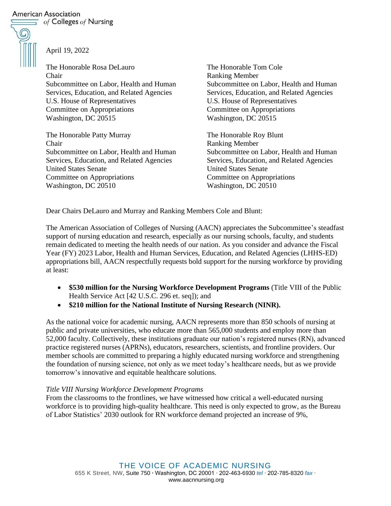## **American Association**

 $\equiv$  of Colleges of Nursing



April 19, 2022

The Honorable Rosa DeLauro Chair Subcommittee on Labor, Health and Human Services, Education, and Related Agencies U.S. House of Representatives Committee on Appropriations Washington, DC 20515

The Honorable Patty Murray Chair Subcommittee on Labor, Health and Human Services, Education, and Related Agencies United States Senate Committee on Appropriations Washington, DC 20510

The Honorable Tom Cole Ranking Member Subcommittee on Labor, Health and Human Services, Education, and Related Agencies U.S. House of Representatives Committee on Appropriations Washington, DC 20515

The Honorable Roy Blunt Ranking Member Subcommittee on Labor, Health and Human Services, Education, and Related Agencies United States Senate Committee on Appropriations Washington, DC 20510

Dear Chairs DeLauro and Murray and Ranking Members Cole and Blunt:

The American Association of Colleges of Nursing (AACN) appreciates the Subcommittee's steadfast support of nursing education and research, especially as our nursing schools, faculty, and students remain dedicated to meeting the health needs of our nation. As you consider and advance the Fiscal Year (FY) 2023 Labor, Health and Human Services, Education, and Related Agencies (LHHS-ED) appropriations bill, AACN respectfully requests bold support for the nursing workforce by providing at least:

- **\$530 million for the Nursing Workforce Development Programs** (Title VIII of the Public Health Service Act [42 U.S.C. 296 et. seq]); and
- **\$210 million for the National Institute of Nursing Research (NINR).**

As the national voice for academic nursing, AACN represents more than 850 schools of nursing at public and private universities, who educate more than 565,000 students and employ more than 52,000 faculty. Collectively, these institutions graduate our nation's registered nurses (RN), advanced practice registered nurses (APRNs), educators, researchers, scientists, and frontline providers. Our member schools are committed to preparing a highly educated nursing workforce and strengthening the foundation of nursing science, not only as we meet today's healthcare needs, but as we provide tomorrow's innovative and equitable healthcare solutions.

## *Title VIII Nursing Workforce Development Programs*

From the classrooms to the frontlines, we have witnessed how critical a well-educated nursing workforce is to providing high-quality healthcare. This need is only expected to grow, as the Bureau of Labor Statistics' 2030 outlook for RN workforce demand projected an increase of 9%,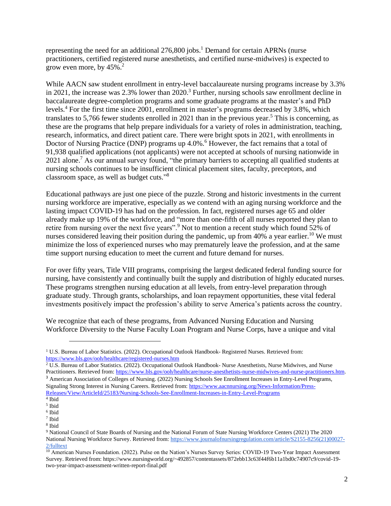representing the need for an additional  $276,800$  jobs.<sup>1</sup> Demand for certain APRNs (nurse practitioners, certified registered nurse anesthetists, and certified nurse-midwives) is expected to grow even more, by  $45\%$ .<sup>2</sup>

While AACN saw student enrollment in entry-level baccalaureate nursing programs increase by 3.3% in 2021, the increase was 2.3% lower than 2020.<sup>3</sup> Further, nursing schools saw enrollment decline in baccalaureate degree-completion programs and some graduate programs at the master's and PhD levels.<sup>4</sup> For the first time since 2001, enrollment in master's programs decreased by 3.8%, which translates to 5,766 fewer students enrolled in 2021 than in the previous year.<sup>5</sup> This is concerning, as these are the programs that help prepare individuals for a variety of roles in administration, teaching, research, informatics, and direct patient care. There were bright spots in 2021, with enrollments in Doctor of Nursing Practice (DNP) programs up 4.0%.<sup>6</sup> However, the fact remains that a total of 91,938 qualified applications (not applicants) were not accepted at schools of nursing nationwide in 2021 alone.<sup>7</sup> As our annual survey found, "the primary barriers to accepting all qualified students at nursing schools continues to be insufficient clinical placement sites, faculty, preceptors, and classroom space, as well as budget cuts."<sup>8</sup>

Educational pathways are just one piece of the puzzle. Strong and historic investments in the current nursing workforce are imperative, especially as we contend with an aging nursing workforce and the lasting impact COVID-19 has had on the profession. In fact, registered nurses age 65 and older already make up 19% of the workforce, and "more than one-fifth of all nurses reported they plan to retire from nursing over the next five years".<sup>9</sup> Not to mention a recent study which found 52% of nurses considered leaving their position during the pandemic, up from  $40\%$  a year earlier.<sup>10</sup> We must minimize the loss of experienced nurses who may prematurely leave the profession, and at the same time support nursing education to meet the current and future demand for nurses.

For over fifty years, Title VIII programs, comprising the largest dedicated federal funding source for nursing, have consistently and continually built the supply and distribution of highly educated nurses. These programs strengthen nursing education at all levels, from entry-level preparation through graduate study. Through grants, scholarships, and loan repayment opportunities, these vital federal investments positively impact the profession's ability to serve America's patients across the country.

We recognize that each of these programs, from Advanced Nursing Education and Nursing Workforce Diversity to the Nurse Faculty Loan Program and Nurse Corps, have a unique and vital

<sup>&</sup>lt;sup>1</sup> U.S. Bureau of Labor Statistics. (2022). Occupational Outlook Handbook- Registered Nurses. Retrieved from: <https://www.bls.gov/ooh/healthcare/registered-nurses.htm>

 $\frac{2 \text{ U.S. Bureau of Labor Statistics.} (2022)$ . Occupational Outlook Handbook- Nurse Anesthetists, Nurse Midwives, and Nurse Practitioners. Retrieved from[: https://www.bls.gov/ooh/healthcare/nurse-anesthetists-nurse-midwives-and-nurse-practitioners.htm.](https://www.bls.gov/ooh/healthcare/nurse-anesthetists-nurse-midwives-and-nurse-practitioners.htm) <sup>3</sup> American Association of Colleges of Nursing. (2022) Nursing Schools See Enrollment Increases in Entry-Level Programs, Signaling Strong Interest in Nursing Careers. Retrieved from: [https://www.aacnnursing.org/News-Information/Press-](https://www.aacnnursing.org/News-Information/Press-Releases/View/ArticleId/25183/Nursing-Schools-See-Enrollment-Increases-in-Entry-Level-Programs)[Releases/View/ArticleId/25183/Nursing-Schools-See-Enrollment-Increases-in-Entry-Level-Programs](https://www.aacnnursing.org/News-Information/Press-Releases/View/ArticleId/25183/Nursing-Schools-See-Enrollment-Increases-in-Entry-Level-Programs)

<sup>4</sup> Ibid

<sup>5</sup> Ibid

<sup>6</sup> Ibid

<sup>7</sup> Ibid

<sup>8</sup> Ibid

<sup>9</sup> National Council of State Boards of Nursing and the National Forum of State Nursing Workforce Centers (2021) The 2020 National Nursing Workforce Survey. Retrieved from: [https://www.journalofnursingregulation.com/article/S2155-8256\(21\)00027-](https://www.journalofnursingregulation.com/article/S2155-8256(21)00027-2/fulltext) [2/fulltext](https://www.journalofnursingregulation.com/article/S2155-8256(21)00027-2/fulltext)

<sup>&</sup>lt;sup>10</sup> American Nurses Foundation. (2022). Pulse on the Nation's Nurses Survey Series: COVID-19 Two-Year Impact Assessment Survey. Retrieved from: https://www.nursingworld.org/~492857/contentassets/872ebb13c63f44f6b11a1bd0c74907c9/covid-19 two-year-impact-assessment-written-report-final.pdf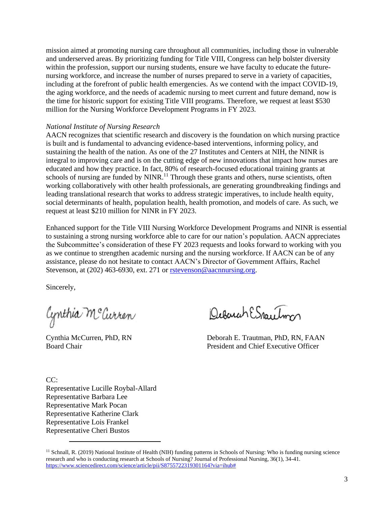mission aimed at promoting nursing care throughout all communities, including those in vulnerable and underserved areas. By prioritizing funding for Title VIII, Congress can help bolster diversity within the profession, support our nursing students, ensure we have faculty to educate the futurenursing workforce, and increase the number of nurses prepared to serve in a variety of capacities, including at the forefront of public health emergencies. As we contend with the impact COVID-19, the aging workforce, and the needs of academic nursing to meet current and future demand, now is the time for historic support for existing Title VIII programs. Therefore, we request at least \$530 million for the Nursing Workforce Development Programs in FY 2023.

## *National Institute of Nursing Research*

AACN recognizes that scientific research and discovery is the foundation on which nursing practice is built and is fundamental to advancing evidence-based interventions, informing policy, and sustaining the health of the nation. As one of the 27 Institutes and Centers at NIH, the NINR is integral to improving care and is on the cutting edge of new innovations that impact how nurses are educated and how they practice. In fact, 80% of research-focused educational training grants at schools of nursing are funded by  $NINR<sup>11</sup>$ . Through these grants and others, nurse scientists, often working collaboratively with other health professionals, are generating groundbreaking findings and leading translational research that works to address strategic imperatives, to include health equity, social determinants of health, population health, health promotion, and models of care. As such, we request at least \$210 million for NINR in FY 2023.

Enhanced support for the Title VIII Nursing Workforce Development Programs and NINR is essential to sustaining a strong nursing workforce able to care for our nation's population. AACN appreciates the Subcommittee's consideration of these FY 2023 requests and looks forward to working with you as we continue to strengthen academic nursing and the nursing workforce. If AACN can be of any assistance, please do not hesitate to contact AACN's Director of Government Affairs, Rachel Stevenson, at (202) 463-6930, ext. 271 or [rstevenson@aacnnursing.org.](mailto:rstevenson@aacnnursing.org)

Sincerely,

Cynthia McCurren

Quemah ESpacetom

Cynthia McCurren, PhD, RN Deborah E. Trautman, PhD, RN, FAAN Board Chair President and Chief Executive Officer

 $CC:$ Representative Lucille Roybal-Allard Representative Barbara Lee Representative Mark Pocan Representative Katherine Clark Representative Lois Frankel Representative Cheri Bustos

<sup>&</sup>lt;sup>11</sup> Schnall, R. (2019) National Institute of Health (NIH) funding patterns in Schools of Nursing: Who is funding nursing science research and who is conducting research at Schools of Nursing? Journal of Professional Nursing, 36(1), 34-41. <https://www.sciencedirect.com/science/article/pii/S8755722319301164?via=ihub#>